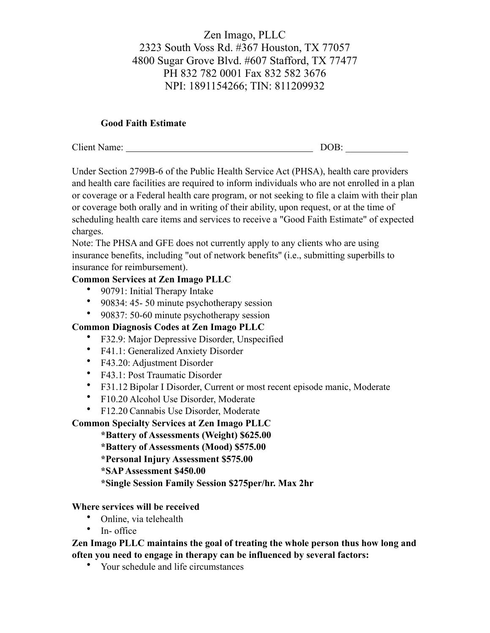# Zen Imago, PLLC 2323 South Voss Rd. #367 Houston, TX 77057 4800 Sugar Grove Blvd. #607 Stafford, TX 77477 PH 832 782 0001 Fax 832 582 3676 NPI: 1891154266; TIN: 811209932

#### **Good Faith Estimate**

| Client N<br>Name: | - - -<br>)<br>Ж. |
|-------------------|------------------|
|                   |                  |

Under Section 2799B-6 of the Public Health Service Act (PHSA), health care providers and health care facilities are required to inform individuals who are not enrolled in a plan or coverage or a Federal health care program, or not seeking to file a claim with their plan or coverage both orally and in writing of their ability, upon request, or at the time of scheduling health care items and services to receive a "Good Faith Estimate" of expected charges.

Note: The PHSA and GFE does not currently apply to any clients who are using insurance benefits, including "out of network benefits'' (i.e., submitting superbills to insurance for reimbursement).

#### **Common Services at Zen Imago PLLC**

- 90791: Initial Therapy Intake
- 90834: 45- 50 minute psychotherapy session
- 90837: 50-60 minute psychotherapy session

## **Common Diagnosis Codes at Zen Imago PLLC**

- F32.9: Major Depressive Disorder, Unspecified
- F41.1: Generalized Anxiety Disorder
- F43.20: Adjustment Disorder
- F43.1: Post Traumatic Disorder
- F31.12 Bipolar I Disorder, Current or most recent episode manic, Moderate
- F10.20 Alcohol Use Disorder, Moderate
- F12.20 Cannabis Use Disorder, Moderate

## **Common Specialty Services at Zen Imago PLLC**

**\*Battery of Assessments (Weight) \$625.00**

**\*Battery of Assessments (Mood) \$575.00**

**\*Personal Injury Assessment \$575.00**

**\*SAP Assessment \$450.00**

**\*Single Session Family Session \$275per/hr. Max 2hr**

#### **Where services will be received**

- Online, via telehealth
- In- office

**Zen Imago PLLC maintains the goal of treating the whole person thus how long and often you need to engage in therapy can be influenced by several factors:**

• Your schedule and life circumstances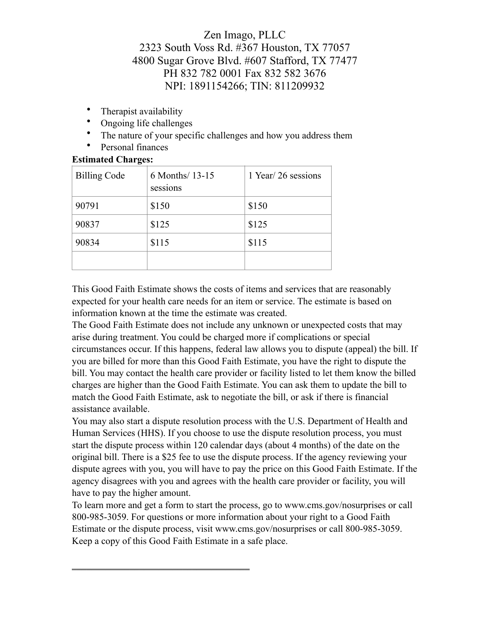# Zen Imago, PLLC 2323 South Voss Rd. #367 Houston, TX 77057 4800 Sugar Grove Blvd. #607 Stafford, TX 77477 PH 832 782 0001 Fax 832 582 3676 NPI: 1891154266; TIN: 811209932

- Therapist availability
- Ongoing life challenges
- The nature of your specific challenges and how you address them
- Personal finances

## **Estimated Charges:**

| <b>Billing Code</b> | 6 Months/ 13-15<br>sessions | 1 Year/26 sessions |
|---------------------|-----------------------------|--------------------|
| 90791               | \$150                       | \$150              |
| 90837               | \$125                       | \$125              |
| 90834               | \$115                       | \$115              |
|                     |                             |                    |

This Good Faith Estimate shows the costs of items and services that are reasonably expected for your health care needs for an item or service. The estimate is based on information known at the time the estimate was created.

The Good Faith Estimate does not include any unknown or unexpected costs that may arise during treatment. You could be charged more if complications or special circumstances occur. If this happens, federal law allows you to dispute (appeal) the bill. If you are billed for more than this Good Faith Estimate, you have the right to dispute the bill. You may contact the health care provider or facility listed to let them know the billed charges are higher than the Good Faith Estimate. You can ask them to update the bill to match the Good Faith Estimate, ask to negotiate the bill, or ask if there is financial assistance available.

You may also start a dispute resolution process with the U.S. Department of Health and Human Services (HHS). If you choose to use the dispute resolution process, you must start the dispute process within 120 calendar days (about 4 months) of the date on the original bill. There is a \$25 fee to use the dispute process. If the agency reviewing your dispute agrees with you, you will have to pay the price on this Good Faith Estimate. If the agency disagrees with you and agrees with the health care provider or facility, you will have to pay the higher amount.

To learn more and get a form to start the process, go to www.cms.gov/nosurprises or call 800-985-3059. For questions or more information about your right to a Good Faith Estimate or the dispute process, visit www.cms.gov/nosurprises or call 800-985-3059. Keep a copy of this Good Faith Estimate in a safe place.

 $\overline{\phantom{a}}$  , and the set of the set of the set of the set of the set of the set of the set of the set of the set of the set of the set of the set of the set of the set of the set of the set of the set of the set of the s